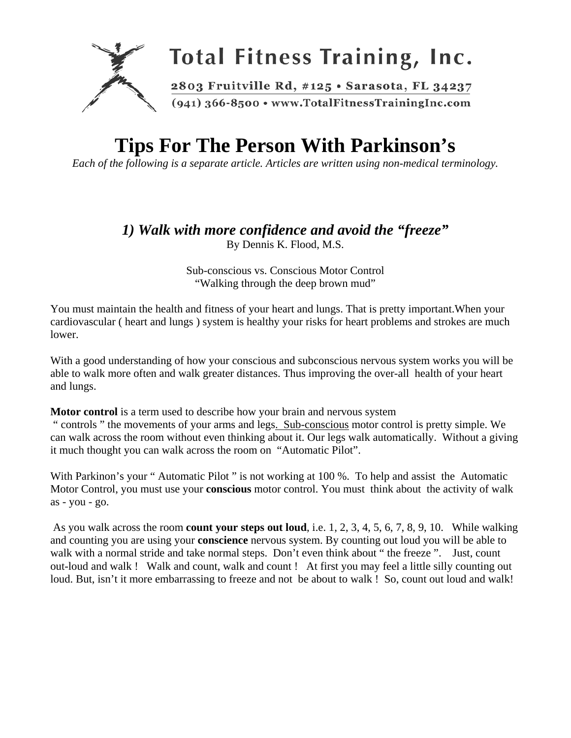

# **Tips For The Person With Parkinson's**

*Each of the following is a separate article. Articles are written using non-medical terminology.* 

# *1) Walk with more confidence and avoid the "freeze"*

By Dennis K. Flood, M.S.

Sub-conscious vs. Conscious Motor Control "Walking through the deep brown mud"

You must maintain the health and fitness of your heart and lungs. That is pretty important.When your cardiovascular ( heart and lungs ) system is healthy your risks for heart problems and strokes are much lower.

With a good understanding of how your conscious and subconscious nervous system works you will be able to walk more often and walk greater distances. Thus improving the over-all health of your heart and lungs.

**Motor control** is a term used to describe how your brain and nervous system " controls " the movements of your arms and legs. Sub-conscious motor control is pretty simple. We can walk across the room without even thinking about it. Our legs walk automatically. Without a giving it much thought you can walk across the room on "Automatic Pilot".

With Parkinon's your " Automatic Pilot " is not working at 100 %. To help and assist the Automatic Motor Control, you must use your **conscious** motor control. You must think about the activity of walk as - you - go.

 As you walk across the room **count your steps out loud**, i.e. 1, 2, 3, 4, 5, 6, 7, 8, 9, 10. While walking and counting you are using your **conscience** nervous system. By counting out loud you will be able to walk with a normal stride and take normal steps. Don't even think about "the freeze". Just, count out-loud and walk ! Walk and count, walk and count ! At first you may feel a little silly counting out loud. But, isn't it more embarrassing to freeze and not be about to walk ! So, count out loud and walk!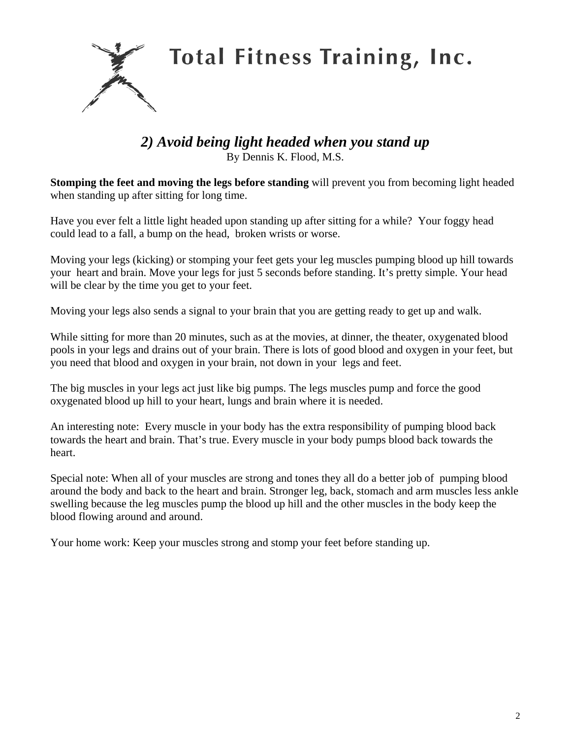**Total Fitness Training, Inc.** 

#### *2) Avoid being light headed when you stand up*  By Dennis K. Flood, M.S.

**Stomping the feet and moving the legs before standing** will prevent you from becoming light headed when standing up after sitting for long time.

Have you ever felt a little light headed upon standing up after sitting for a while? Your foggy head could lead to a fall, a bump on the head, broken wrists or worse.

Moving your legs (kicking) or stomping your feet gets your leg muscles pumping blood up hill towards your heart and brain. Move your legs for just 5 seconds before standing. It's pretty simple. Your head will be clear by the time you get to your feet.

Moving your legs also sends a signal to your brain that you are getting ready to get up and walk.

While sitting for more than 20 minutes, such as at the movies, at dinner, the theater, oxygenated blood pools in your legs and drains out of your brain. There is lots of good blood and oxygen in your feet, but you need that blood and oxygen in your brain, not down in your legs and feet.

The big muscles in your legs act just like big pumps. The legs muscles pump and force the good oxygenated blood up hill to your heart, lungs and brain where it is needed.

An interesting note: Every muscle in your body has the extra responsibility of pumping blood back towards the heart and brain. That's true. Every muscle in your body pumps blood back towards the heart.

Special note: When all of your muscles are strong and tones they all do a better job of pumping blood around the body and back to the heart and brain. Stronger leg, back, stomach and arm muscles less ankle swelling because the leg muscles pump the blood up hill and the other muscles in the body keep the blood flowing around and around.

Your home work: Keep your muscles strong and stomp your feet before standing up.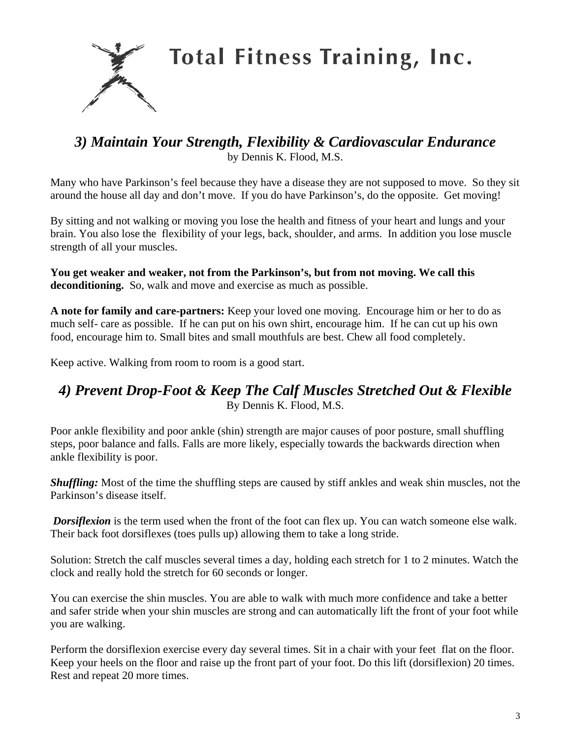

**Total Fitness Training, Inc.** 

## *3) Maintain Your Strength, Flexibility & Cardiovascular Endurance* by Dennis K. Flood, M.S.

Many who have Parkinson's feel because they have a disease they are not supposed to move. So they sit around the house all day and don't move. If you do have Parkinson's, do the opposite. Get moving!

By sitting and not walking or moving you lose the health and fitness of your heart and lungs and your brain. You also lose the flexibility of your legs, back, shoulder, and arms. In addition you lose muscle strength of all your muscles.

**You get weaker and weaker, not from the Parkinson's, but from not moving. We call this deconditioning.** So, walk and move and exercise as much as possible.

**A note for family and care-partners:** Keep your loved one moving. Encourage him or her to do as much self- care as possible. If he can put on his own shirt, encourage him. If he can cut up his own food, encourage him to. Small bites and small mouthfuls are best. Chew all food completely.

Keep active. Walking from room to room is a good start.

## *4) Prevent Drop-Foot & Keep The Calf Muscles Stretched Out & Flexible*  By Dennis K. Flood, M.S.

Poor ankle flexibility and poor ankle (shin) strength are major causes of poor posture, small shuffling steps, poor balance and falls. Falls are more likely, especially towards the backwards direction when ankle flexibility is poor.

*Shuffling:* Most of the time the shuffling steps are caused by stiff ankles and weak shin muscles, not the Parkinson's disease itself.

*Dorsiflexion* is the term used when the front of the foot can flex up. You can watch someone else walk. Their back foot dorsiflexes (toes pulls up) allowing them to take a long stride.

Solution: Stretch the calf muscles several times a day, holding each stretch for 1 to 2 minutes. Watch the clock and really hold the stretch for 60 seconds or longer.

You can exercise the shin muscles. You are able to walk with much more confidence and take a better and safer stride when your shin muscles are strong and can automatically lift the front of your foot while you are walking.

Perform the dorsiflexion exercise every day several times. Sit in a chair with your feet flat on the floor. Keep your heels on the floor and raise up the front part of your foot. Do this lift (dorsiflexion) 20 times. Rest and repeat 20 more times.